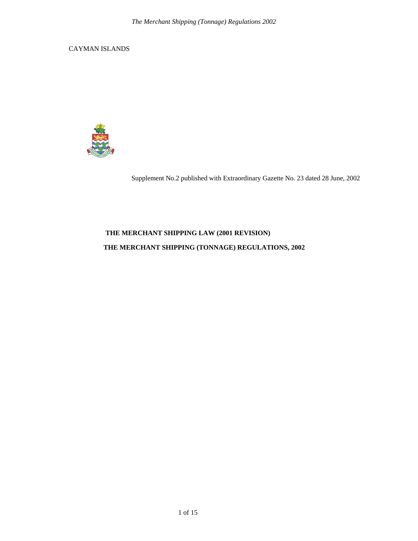CAYMAN ISLANDS



Supplement No.2 published with Extraordinary Gazette No. 23 dated 28 June, 2002

## **THE MERCHANT SHIPPING LAW (2001 REVISION)**

### **THE MERCHANT SHIPPING (TONNAGE) REGULATIONS, 2002**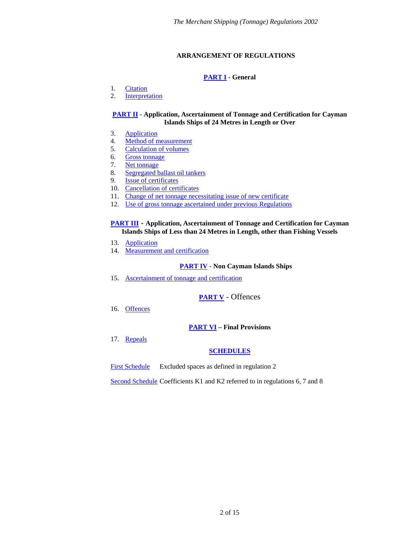### **ARRANGEMENT OF REGULATIONS**

### **[PART I](#page-2-0) - General**

- <span id="page-1-0"></span>1. [Citation](#page-2-1)
- 2. [Interpretation](#page-2-2)

#### **[PART II](#page-4-0) - Application, Ascertainment of Tonnage and Certification for Cayman Islands Ships of 24 Metres in Length or Over**

- 3. [Application](#page-4-1)
- 4. [Method of measurement](#page-4-2)
- 5. [Calculation of volumes](#page-5-0)
- 6. [Gross tonnage](#page-5-1)
- 7. [Net tonnage](#page-5-2)
- 8. [Segregated ballast oil tankers](#page-6-0)
- 9. [Issue of certificates](#page-6-1)
- 10. [Cancellation of certificates](#page-6-2)
- 11. [Change of net tonnage necessitating issue of new certificate](#page-6-3)
- 12. [Use of gross tonnage ascertained under previous Regulations](#page-7-0)

### **[PART III](#page-8-0)** - **Application, Ascertainment of Tonnage and Certification for Cayman Islands Ships of Less than 24 Metres in Length, other than Fishing Vessels**

- 13. [Application](#page-8-1)
- 14. [Measurement and certification](#page-8-2)

#### **[PART IV](#page-9-0)** ‐ **Non Cayman Islands Ships**

15. [Ascertainment of tonnage and certification](#page-9-1)

# **[PART V](#page-9-2)** - Offences

16. [Offences](#page-9-3)

### **[PART VI](#page-9-4) – Final Provisions**

17. [Repeals](#page-9-5)

### **[SCHEDULES](#page-9-6)**

[First Schedule](#page-9-6) Excluded spaces as defined in regulation 2

[Second Schedule](#page-13-0) Coefficients K1 and K2 referred to in regulations 6, 7 and 8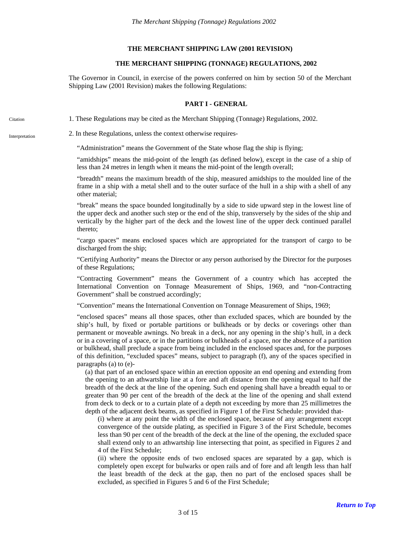#### **THE MERCHANT SHIPPING LAW (2001 REVISION)**

#### **THE MERCHANT SHIPPING (TONNAGE) REGULATIONS, 2002**

The Governor in Council, in exercise of the powers conferred on him by section 50 of the Merchant Shipping Law (2001 Revision) makes the following Regulations:

#### **PART I - GENERAL**

<span id="page-2-1"></span><span id="page-2-0"></span>Citation 1. These Regulations may be cited as the Merchant Shipping (Tonnage) Regulations, 2002.

<span id="page-2-2"></span>Interpretation 2. In these Regulations, unless the context otherwise requires-

"Administration" means the Government of the State whose flag the ship is flying;

"amidships" means the mid-point of the length (as defined below), except in the case of a ship of less than 24 metres in length when it means the mid-point of the length overall;

"breadth" means the maximum breadth of the ship, measured amidships to the moulded line of the frame in a ship with a metal shell and to the outer surface of the hull in a ship with a shell of any other material;

"break" means the space bounded longitudinally by a side to side upward step in the lowest line of the upper deck and another such step or the end of the ship, transversely by the sides of the ship and vertically by the higher part of the deck and the lowest line of the upper deck continued parallel thereto;

"cargo spaces" means enclosed spaces which are appropriated for the transport of cargo to be discharged from the ship;

"Certifying Authority" means the Director or any person authorised by the Director for the purposes of these Regulations;

"Contracting Government" means the Government of a country which has accepted the International Convention on Tonnage Measurement of Ships, 1969, and "non-Contracting Government" shall be construed accordingly;

"Convention" means the International Convention on Tonnage Measurement of Ships, 1969;

"enclosed spaces" means all those spaces, other than excluded spaces, which are bounded by the ship's hull, by fixed or portable partitions or bulkheads or by decks or coverings other than permanent or moveable awnings. No break in a deck, nor any opening in the ship's hull, in a deck or in a covering of a space, or in the partitions or bulkheads of a space, nor the absence of a partition or bulkhead, shall preclude a space from being included in the enclosed spaces and, for the purposes of this definition, "excluded spaces" means, subject to paragraph (f), any of the spaces specified in paragraphs (a) to (e)-

(a) that part of an enclosed space within an erection opposite an end opening and extending from the opening to an athwartship line at a fore and aft distance from the opening equal to half the breadth of the deck at the line of the opening. Such end opening shall have a breadth equal to or greater than 90 per cent of the breadth of the deck at the line of the opening and shall extend from deck to deck or to a curtain plate of a depth not exceeding by more than 25 millimetres the depth of the adjacent deck beams, as specified in Figure 1 of the First Schedule: provided that-

(i) where at any point the width of the enclosed space, because of any arrangement except convergence of the outside plating, as specified in Figure 3 of the First Schedule, becomes less than 90 per cent of the breadth of the deck at the line of the opening, the excluded space shall extend only to an athwartship line intersecting that point, as specified in Figures 2 and 4 of the First Schedule;

(ii) where the opposite ends of two enclosed spaces are separated by a gap, which is completely open except for bulwarks or open rails and of fore and aft length less than half the least breadth of the deck at the gap, then no part of the enclosed spaces shall be excluded, as specified in Figures 5 and 6 of the First Schedule;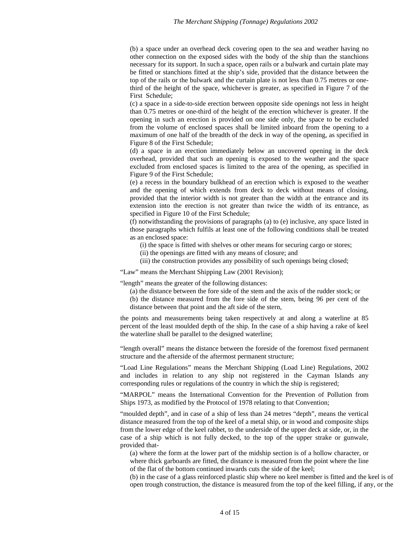(b) a space under an overhead deck covering open to the sea and weather having no other connection on the exposed sides with the body of the ship than the stanchions necessary for its support. In such a space, open rails or a bulwark and curtain plate may be fitted or stanchions fitted at the ship's side, provided that the distance between the top of the rails or the bulwark and the curtain plate is not less than 0.75 metres or onethird of the height of the space, whichever is greater, as specified in Figure 7 of the First Schedule;

(c) a space in a side-to-side erection between opposite side openings not less in height than 0.75 metres or one-third of the height of the erection whichever is greater. If the opening in such an erection is provided on one side only, the space to be excluded from the volume of enclosed spaces shall be limited inboard from the opening to a maximum of one half of the breadth of the deck in way of the opening, as specified in Figure 8 of the First Schedule;

(d) a space in an erection immediately below an uncovered opening in the deck overhead, provided that such an opening is exposed to the weather and the space excluded from enclosed spaces is limited to the area of the opening, as specified in Figure 9 of the First Schedule;

(e) a recess in the boundary bulkhead of an erection which is exposed to the weather and the opening of which extends from deck to deck without means of closing, provided that the interior width is not greater than the width at the entrance and its extension into the erection is not greater than twice the width of its entrance, as specified in Figure 10 of the First Schedule;

(f) notwithstanding the provisions of paragraphs (a) to (e) inclusive, any space listed in those paragraphs which fulfils at least one of the following conditions shall be treated as an enclosed space:

(i) the space is fitted with shelves or other means for securing cargo or stores;

(ii) the openings are fitted with any means of closure; and

(iii) the construction provides any possibility of such openings being closed;

"Law" means the Merchant Shipping Law (2001 Revision);

"length" means the greater of the following distances:

- (a) the distance between the fore side of the stem and the axis of the rudder stock; or
- (b) the distance measured from the fore side of the stem, being 96 per cent of the distance between that point and the aft side of the stern,

the points and measurements being taken respectively at and along a waterline at 85 percent of the least moulded depth of the ship. In the case of a ship having a rake of keel the waterline shall be parallel to the designed waterline;

"length overall" means the distance between the foreside of the foremost fixed permanent structure and the afterside of the aftermost permanent structure;

"Load Line Regulations" means the Merchant Shipping (Load Line) Regulations, 2002 and includes in relation to any ship not registered in the Cayman Islands any corresponding rules or regulations of the country in which the ship is registered;

"MARPOL" means the International Convention for the Prevention of Pollution from Ships 1973, as modified by the Protocol of 1978 relating to that Convention;

"moulded depth", and in case of a ship of less than 24 metres "depth", means the vertical distance measured from the top of the keel of a metal ship, or in wood and composite ships from the lower edge of the keel rabbet, to the underside of the upper deck at side, or, in the case of a ship which is not fully decked, to the top of the upper strake or gunwale, provided that-

(a) where the form at the lower part of the midship section is of a hollow character, or where thick garboards are fitted, the distance is measured from the point where the line of the flat of the bottom continued inwards cuts the side of the keel;

(b) in the case of a glass reinforced plastic ship where no keel member is fitted and the keel is of open trough construction, the distance is measured from the top of the keel filling, if any, or the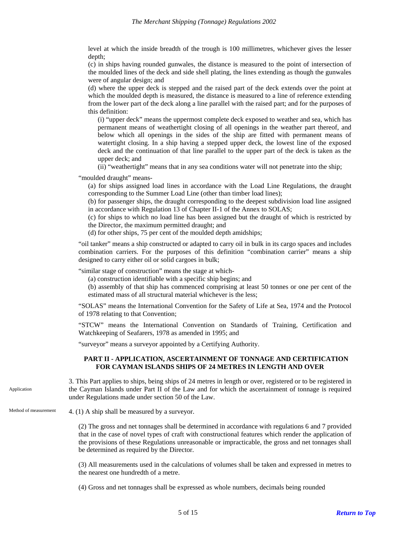level at which the inside breadth of the trough is 100 millimetres, whichever gives the lesser depth;

(c) in ships having rounded gunwales, the distance is measured to the point of intersection of the moulded lines of the deck and side shell plating, the lines extending as though the gunwales were of angular design; and

(d) where the upper deck is stepped and the raised part of the deck extends over the point at which the moulded depth is measured, the distance is measured to a line of reference extending from the lower part of the deck along a line parallel with the raised part; and for the purposes of this definition:

(i) "upper deck" means the uppermost complete deck exposed to weather and sea, which has permanent means of weathertight closing of all openings in the weather part thereof, and below which all openings in the sides of the ship are fitted with permanent means of watertight closing. In a ship having a stepped upper deck, the lowest line of the exposed deck and the continuation of that line parallel to the upper part of the deck is taken as the upper deck; and

(ii) "weathertight" means that in any sea conditions water will not penetrate into the ship;

"moulded draught" means-

(a) for ships assigned load lines in accordance with the Load Line Regulations, the draught corresponding to the Summer Load Line (other than timber load lines);

(b) for passenger ships, the draught corresponding to the deepest subdivision load line assigned in accordance with Regulation 13 of Chapter II-1 of the Annex to SOLAS;

(c) for ships to which no load line has been assigned but the draught of which is restricted by the Director, the maximum permitted draught; and

(d) for other ships, 75 per cent of the moulded depth amidships;

"oil tanker" means a ship constructed or adapted to carry oil in bulk in its cargo spaces and includes combination carriers. For the purposes of this definition "combination carrier" means a ship designed to carry either oil or solid cargoes in bulk;

"similar stage of construction" means the stage at which-

(a) construction identifiable with a specific ship begins; and

(b) assembly of that ship has commenced comprising at least 50 tonnes or one per cent of the estimated mass of all structural material whichever is the less;

"SOLAS" means the International Convention for the Safety of Life at Sea, 1974 and the Protocol of 1978 relating to that Convention;

"STCW" means the International Convention on Standards of Training, Certification and Watchkeeping of Seafarers, 1978 as amended in 1995; and

"surveyor" means a surveyor appointed by a Certifying Authority.

#### **PART II - APPLICATION, ASCERTAINMENT OF TONNAGE AND CERTIFICATION FOR CAYMAN ISLANDS SHIPS OF 24 METRES IN LENGTH AND OVER**

<span id="page-4-1"></span><span id="page-4-0"></span>3. This Part applies to ships, being ships of 24 metres in length or over, registered or to be registered in the Cayman Islands under Part II of the Law and for which the ascertainment of tonnage is required under Regulations made under section 50 of the Law. Application

<span id="page-4-2"></span>Method of measurement  $4. (1)$  A ship shall be measured by a surveyor.

(2) The gross and net tonnages shall be determined in accordance with regulations 6 and 7 provided that in the case of novel types of craft with constructional features which render the application of the provisions of these Regulations unreasonable or impracticable, the gross and net tonnages shall be determined as required by the Director.

(3) All measurements used in the calculations of volumes shall be taken and expressed in metres to the nearest one hundredth of a metre.

(4) Gross and net tonnages shall be expressed as whole numbers, decimals being rounded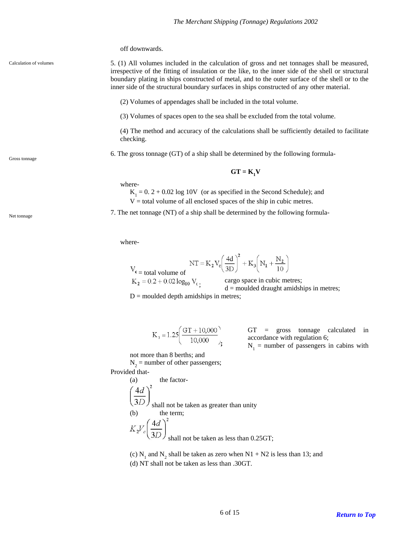off downwards.

#### <span id="page-5-0"></span>Calculation of volumes

5. (1) All volumes included in the calculation of gross and net tonnages shall be measured, irrespective of the fitting of insulation or the like, to the inner side of the shell or structural boundary plating in ships constructed of metal, and to the outer surface of the shell or to the inner side of the structural boundary surfaces in ships constructed of any other material.

(2) Volumes of appendages shall be included in the total volume.

(3) Volumes of spaces open to the sea shall be excluded from the total volume.

(4) The method and accuracy of the calculations shall be sufficiently detailed to facilitate checking.

<span id="page-5-1"></span>6. The gross tonnage (GT) of a ship shall be determined by the following formula- Gross tonnage

# $GT = K_1 V$

where-

 $K_1 = 0$ .  $2 + 0.02 \log 10V$  (or as specified in the Second Schedule); and  $V =$  total volume of all enclosed spaces of the ship in cubic metres.

<span id="page-5-2"></span>Net tonnage (NT) of a ship shall be determined by the following formula-

where-

$$
NT = K_2 V_c \left(\frac{4d}{3D}\right)^2 + K_3 \left(N_1 + \frac{N_2}{10}\right)
$$

 $V_c$  = total volume of<br>  $K_2 = 0.2 + 0.02 \log_{10} V_c$ .

cargo space in cubic metres;  $d =$  moulded draught amidships in metres;

 $D =$  moulded depth amidships in metres;

$$
K_3 = 1.25 \left( \frac{GT + 10,000}{10,000} \right);
$$

GT = gross tonnage calculated in accordance with regulation 6;

 $N_1$  = number of passengers in cabins with

not more than 8 berths; and

J

 $N_2$  = number of other passengers; Provided that-

> (a) the factorshall not be taken as greater than unity (b) the term; shall not be taken as less than 0.25GT;

(c)  $N_1$  and  $N_2$ (c)  $N_1$  and  $N_2$  shall be taken as zero when  $N1 + N2$  is less than 13; and

(d) NT shall not be taken as less than .30GT.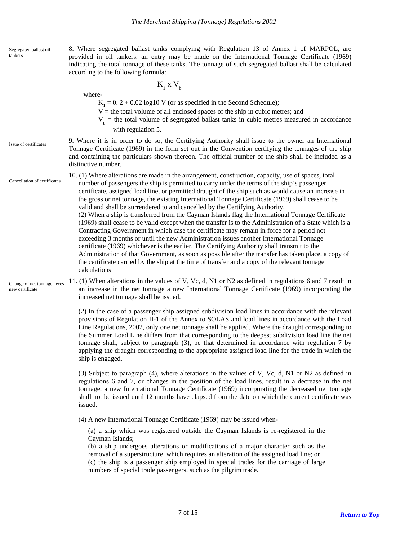<span id="page-6-0"></span>Segregated ballast oil tankers

8. Where segregated ballast tanks complying with Regulation 13 of Annex 1 of MARPOL, are provided in oil tankers, an entry may be made on the International Tonnage Certificate (1969) indicating the total tonnage of these tanks. The tonnage of such segregated ballast shall be calculated according to the following formula:

where-

 $K_1$  x  $V_b$ 

 $K_1 = 0$ . 2 + 0.02 log10 V (or as specified in the Second Schedule);

 $V =$  the total volume of all enclosed spaces of the ship in cubic metres; and

 $V<sub>b</sub>$  = the total volume of segregated ballast tanks in cubic metres measured in accordance with regulation 5.

#### <span id="page-6-1"></span>Issue of certificates

9. Where it is in order to do so, the Certifying Authority shall issue to the owner an International Tonnage Certificate (1969) in the form set out in the Convention certifying the tonnages of the ship and containing the particulars shown thereon. The official number of the ship shall be included as a distinctive number.

<span id="page-6-2"></span>Cancellation of certificates

10. (1) Where alterations are made in the arrangement, construction, capacity, use of spaces, total number of passengers the ship is permitted to carry under the terms of the ship's passenger certificate, assigned load line, or permitted draught of the ship such as would cause an increase in the gross or net tonnage, the existing International Tonnage Certificate (1969) shall cease to be valid and shall be surrendered to and cancelled by the Certifying Authority.

(2) When a ship is transferred from the Cayman Islands flag the International Tonnage Certificate (1969) shall cease to be valid except when the transfer is to the Administration of a State which is a Contracting Government in which case the certificate may remain in force for a period not exceeding 3 months or until the new Administration issues another International Tonnage certificate (1969) whichever is the earlier. The Certifying Authority shall transmit to the Administration of that Government, as soon as possible after the transfer has taken place, a copy of the certificate carried by the ship at the time of transfer and a copy of the relevant tonnage calculations

<span id="page-6-3"></span>Change of net tonnage neces new certificate

11. (1) When alterations in the values of V, Vc, d, N1 or N2 as defined in regulations 6 and 7 result in an increase in the net tonnage a new International Tonnage Certificate (1969) incorporating the increased net tonnage shall be issued.

(2) In the case of a passenger ship assigned subdivision load lines in accordance with the relevant provisions of Regulation II-1 of the Annex to SOLAS and load lines in accordance with the Load Line Regulations, 2002, only one net tonnage shall be applied. Where the draught corresponding to the Summer Load Line differs from that corresponding to the deepest subdivision load line the net tonnage shall, subject to paragraph (3), be that determined in accordance with regulation 7 by applying the draught corresponding to the appropriate assigned load line for the trade in which the ship is engaged.

(3) Subject to paragraph (4), where alterations in the values of V, Vc, d, N1 or N2 as defined in regulations 6 and 7, or changes in the position of the load lines, result in a decrease in the net tonnage, a new International Tonnage Certificate (1969) incorporating the decreased net tonnage shall not be issued until 12 months have elapsed from the date on which the current certificate was issued.

(4) A new International Tonnage Certificate (1969) may be issued when-

(a) a ship which was registered outside the Cayman Islands is re-registered in the Cayman Islands;

(b) a ship undergoes alterations or modifications of a major character such as the removal of a superstructure, which requires an alteration of the assigned load line; or (c) the ship is a passenger ship employed in special trades for the carriage of large numbers of special trade passengers, such as the pilgrim trade.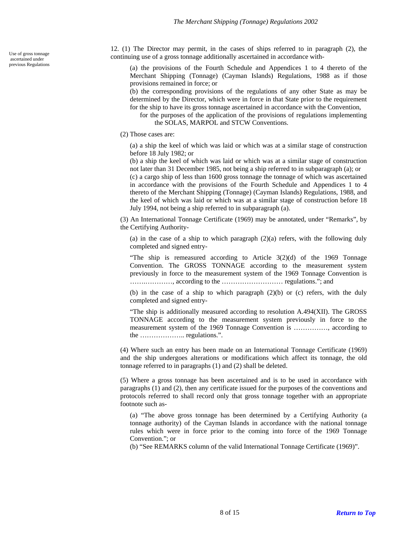ascertained under<br>previous Regulations

<span id="page-7-0"></span>12. (1) The Director may permit, in the cases of ships referred to in paragraph (2), the Use of gross tonnage<br>  $\frac{1}{2}$  continuing use of a gross tonnage additionally ascertained in accordance with-

> (a) the provisions of the Fourth Schedule and Appendices 1 to 4 thereto of the Merchant Shipping (Tonnage) (Cayman Islands) Regulations, 1988 as if those provisions remained in force; or

> (b) the corresponding provisions of the regulations of any other State as may be determined by the Director, which were in force in that State prior to the requirement for the ship to have its gross tonnage ascertained in accordance with the Convention,

for the purposes of the application of the provisions of regulations implementing the SOLAS, MARPOL and STCW Conventions.

(2) Those cases are:

(a) a ship the keel of which was laid or which was at a similar stage of construction before 18 July 1982; or

(b) a ship the keel of which was laid or which was at a similar stage of construction not later than 31 December 1985, not being a ship referred to in subparagraph (a); or

(c) a cargo ship of less than 1600 gross tonnage the tonnage of which was ascertained in accordance with the provisions of the Fourth Schedule and Appendices 1 to 4 thereto of the Merchant Shipping (Tonnage) (Cayman Islands) Regulations, 1988, and the keel of which was laid or which was at a similar stage of construction before 18 July 1994, not being a ship referred to in subparagraph (a).

(3) An International Tonnage Certificate (1969) may be annotated, under "Remarks", by the Certifying Authority-

(a) in the case of a ship to which paragraph (2)(a) refers, with the following duly completed and signed entry-

"The ship is remeasured according to Article 3(2)(d) of the 1969 Tonnage Convention. The GROSS TONNAGE according to the measurement system previously in force to the measurement system of the 1969 Tonnage Convention is …….…………, according to the ……………………… regulations."; and

(b) in the case of a ship to which paragraph (2)(b) or (c) refers, with the duly completed and signed entry-

"The ship is additionally measured according to resolution A.494(XII). The GROSS TONNAGE according to the measurement system previously in force to the measurement system of the 1969 Tonnage Convention is ……………, according to the ……………….. regulations.".

(4) Where such an entry has been made on an International Tonnage Certificate (1969) and the ship undergoes alterations or modifications which affect its tonnage, the old tonnage referred to in paragraphs (1) and (2) shall be deleted.

(5) Where a gross tonnage has been ascertained and is to be used in accordance with paragraphs (1) and (2), then any certificate issued for the purposes of the conventions and protocols referred to shall record only that gross tonnage together with an appropriate footnote such as-

(a) "The above gross tonnage has been determined by a Certifying Authority (a tonnage authority) of the Cayman Islands in accordance with the national tonnage rules which were in force prior to the coming into force of the 1969 Tonnage Convention."; or

(b) "See REMARKS column of the valid International Tonnage Certificate (1969)".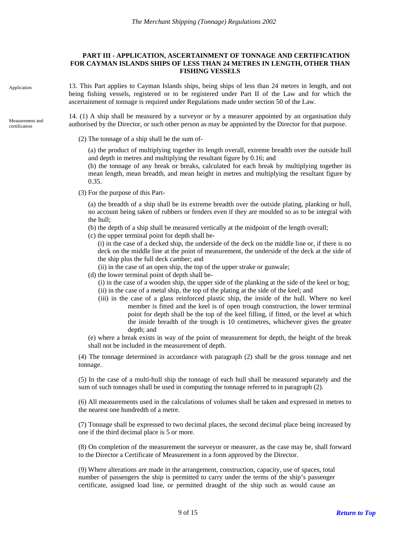#### **PART III - APPLICATION, ASCERTAINMENT OF TONNAGE AND CERTIFICATION FOR CAYMAN ISLANDS SHIPS OF LESS THAN 24 METRES IN LENGTH, OTHER THAN FISHING VESSELS**

<span id="page-8-1"></span><span id="page-8-0"></span>Application

certification

13. This Part applies to Cayman Islands ships, being ships of less than 24 metres in length, and not being fishing vessels, registered or to be registered under Part II of the Law and for which the ascertainment of tonnage is required under Regulations made under section 50 of the Law.

<span id="page-8-2"></span>14. (1) A ship shall be measured by a surveyor or by a measurer appointed by an organisation duly Measurement and authorised by the Director, or such other person as may be appointed by the Director for that purpose.

(2) The tonnage of a ship shall be the sum of-

(a) the product of multiplying together its length overall, extreme breadth over the outside hull and depth in metres and multiplying the resultant figure by 0.16; and

(b) the tonnage of any break or breaks, calculated for each break by multiplying together its mean length, mean breadth, and mean height in metres and multiplying the resultant figure by 0.35.

(3) For the purpose of this Part-

(a) the breadth of a ship shall be its extreme breadth over the outside plating, planking or hull, no account being taken of rubbers or fenders even if they are moulded so as to be integral with the hull;

- (b) the depth of a ship shall be measured vertically at the midpoint of the length overall;
- (c) the upper terminal point for depth shall be-

(i) in the case of a decked ship, the underside of the deck on the middle line or, if there is no deck on the middle line at the point of measurement, the underside of the deck at the side of the ship plus the full deck camber; and

- (ii) in the case of an open ship, the top of the upper strake or gunwale;
- (d) the lower terminal point of depth shall be-
	- (i) in the case of a wooden ship, the upper side of the planking at the side of the keel or hog;
	- (ii) in the case of a metal ship, the top of the plating at the side of the keel; and
	- (iii) in the case of a glass reinforced plastic ship, the inside of the hull. Where no keel member is fitted and the keel is of open trough construction, the lower terminal point for depth shall be the top of the keel filling, if fitted, or the level at which the inside breadth of the trough is 10 centimetres, whichever gives the greater depth; and

(e) where a break exists in way of the point of measurement for depth, the height of the break shall not be included in the measurement of depth.

(4) The tonnage determined in accordance with paragraph (2) shall be the gross tonnage and net tonnage.

(5) In the case of a multi-hull ship the tonnage of each hull shall be measured separately and the sum of such tonnages shall be used in computing the tonnage referred to in paragraph (2).

(6) All measurements used in the calculations of volumes shall be taken and expressed in metres to the nearest one hundredth of a metre.

(7) Tonnage shall be expressed to two decimal places, the second decimal place being increased by one if the third decimal place is 5 or more.

(8) On completion of the measurement the surveyor or measurer, as the case may be, shall forward to the Director a Certificate of Measurement in a form approved by the Director.

(9) Where alterations are made in the arrangement, construction, capacity, use of spaces, total number of passengers the ship is permitted to carry under the terms of the ship's passenger certificate, assigned load line, or permitted draught of the ship such as would cause an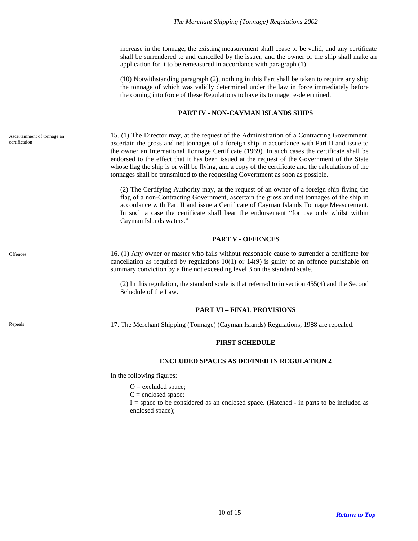increase in the tonnage, the existing measurement shall cease to be valid, and any certificate shall be surrendered to and cancelled by the issuer, and the owner of the ship shall make an application for it to be remeasured in accordance with paragraph (1).

(10) Notwithstanding paragraph (2), nothing in this Part shall be taken to require any ship the tonnage of which was validly determined under the law in force immediately before the coming into force of these Regulations to have its tonnage re-determined.

## **PART IV - NON-CAYMAN ISLANDS SHIPS**

15. (1) The Director may, at the request of the Administration of a Contracting Government, ascertain the gross and net tonnages of a foreign ship in accordance with Part II and issue to the owner an International Tonnage Certificate (1969). In such cases the certificate shall be endorsed to the effect that it has been issued at the request of the Government of the State whose flag the ship is or will be flying, and a copy of the certificate and the calculations of the tonnages shall be transmitted to the requesting Government as soon as possible.

(2) The Certifying Authority may, at the request of an owner of a foreign ship flying the flag of a non-Contracting Government, ascertain the gross and net tonnages of the ship in accordance with Part II and issue a Certificate of Cayman Islands Tonnage Measurement. In such a case the certificate shall bear the endorsement "for use only whilst within Cayman Islands waters."

### **PART V - OFFENCES**

16. (1) Any owner or master who fails without reasonable cause to surrender a certificate for cancellation as required by regulations  $10(1)$  or  $14(9)$  is guilty of an offence punishable on summary conviction by a fine not exceeding level 3 on the standard scale.

(2) In this regulation, the standard scale is that referred to in section 455(4) and the Second Schedule of the Law.

### **PART VI – FINAL PROVISIONS**

<span id="page-9-6"></span><span id="page-9-5"></span>Repeals and the Merchant Shipping (Tonnage) (Cayman Islands) Regulations, 1988 are repealed.

### **FIRST SCHEDULE**

### **EXCLUDED SPACES AS DEFINED IN REGULATION 2**

In the following figures:

 $O =$  excluded space;

 $C =$  enclosed space;

I = space to be considered as an enclosed space. (Hatched - in parts to be included as enclosed space);

<span id="page-9-1"></span><span id="page-9-0"></span>Ascertainment of tonnage an certification

<span id="page-9-3"></span><span id="page-9-2"></span>**Offences** 

<span id="page-9-4"></span>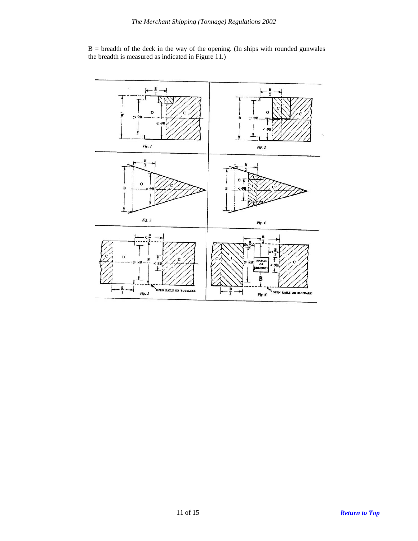

 $B =$  breadth of the deck in the way of the opening. (In ships with rounded gunwales the breadth is measured as indicated in Figure 11.)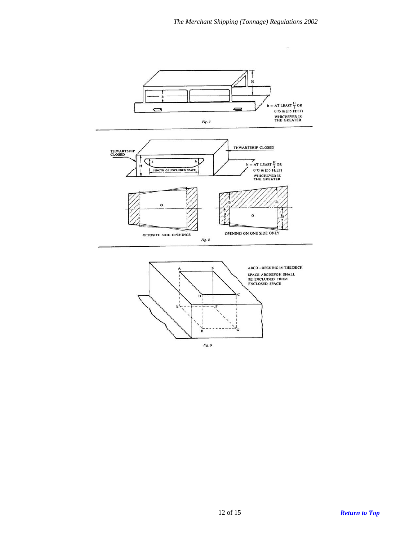$\overline{\phantom{a}}$ 



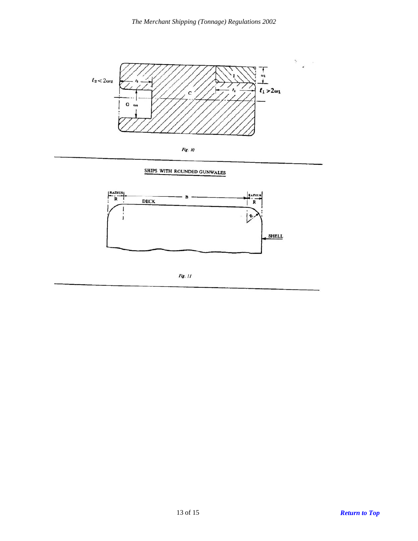

SHIPS WITH ROUNDED GUNWALES



Fig. 11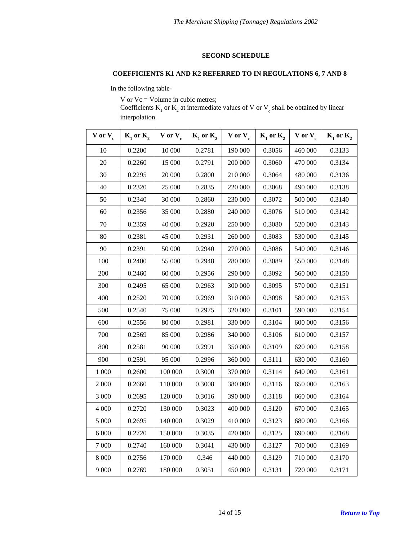#### **SECOND SCHEDULE**

# <span id="page-13-0"></span>**COEFFICIENTS K1 AND K2 REFERRED TO IN REGULATIONS 6, 7 AND 8**

In the following table-

V or Vc = Volume in cubic metres;

Coefficients  $K_1$  or  $K_2$  at intermediate values of V or  $V_c$  shall be obtained by linear interpolation.

| $V$ or $V_c$ | $K_1$ or $K_2$ | $V$ or $V_c$ | $K_1$ or $K_2$ | $V$ or $V_c$ | $K_1$ or $K_2$ | $V$ or $V_c$ | $K_1$ or $K_2$ |
|--------------|----------------|--------------|----------------|--------------|----------------|--------------|----------------|
| 10           | 0.2200         | 10 000       | 0.2781         | 190 000      | 0.3056         | 460 000      | 0.3133         |
| 20           | 0.2260         | 15 000       | 0.2791         | 200 000      | 0.3060         | 470 000      | 0.3134         |
| 30           | 0.2295         | 20 000       | 0.2800         | 210 000      | 0.3064         | 480 000      | 0.3136         |
| 40           | 0.2320         | 25 000       | 0.2835         | 220 000      | 0.3068         | 490 000      | 0.3138         |
| 50           | 0.2340         | 30 000       | 0.2860         | 230 000      | 0.3072         | 500 000      | 0.3140         |
| 60           | 0.2356         | 35 000       | 0.2880         | 240 000      | 0.3076         | 510 000      | 0.3142         |
| 70           | 0.2359         | 40 000       | 0.2920         | 250 000      | 0.3080         | 520 000      | 0.3143         |
| 80           | 0.2381         | 45 000       | 0.2931         | 260 000      | 0.3083         | 530 000      | 0.3145         |
| 90           | 0.2391         | 50 000       | 0.2940         | 270 000      | 0.3086         | 540 000      | 0.3146         |
| 100          | 0.2400         | 55 000       | 0.2948         | 280 000      | 0.3089         | 550 000      | 0.3148         |
| 200          | 0.2460         | 60 000       | 0.2956         | 290 000      | 0.3092         | 560 000      | 0.3150         |
| 300          | 0.2495         | 65 000       | 0.2963         | 300 000      | 0.3095         | 570 000      | 0.3151         |
| 400          | 0.2520         | 70 000       | 0.2969         | 310 000      | 0.3098         | 580 000      | 0.3153         |
| 500          | 0.2540         | 75 000       | 0.2975         | 320 000      | 0.3101         | 590 000      | 0.3154         |
| 600          | 0.2556         | 80 000       | 0.2981         | 330 000      | 0.3104         | 600 000      | 0.3156         |
| 700          | 0.2569         | 85 000       | 0.2986         | 340 000      | 0.3106         | 610 000      | 0.3157         |
| 800          | 0.2581         | 90 000       | 0.2991         | 350 000      | 0.3109         | 620 000      | 0.3158         |
| 900          | 0.2591         | 95 000       | 0.2996         | 360 000      | 0.3111         | 630 000      | 0.3160         |
| 1 000        | 0.2600         | 100 000      | 0.3000         | 370 000      | 0.3114         | 640 000      | 0.3161         |
| 2 000        | 0.2660         | 110 000      | 0.3008         | 380 000      | 0.3116         | 650 000      | 0.3163         |
| 3 000        | 0.2695         | 120 000      | 0.3016         | 390 000      | 0.3118         | 660 000      | 0.3164         |
| 4 000        | 0.2720         | 130 000      | 0.3023         | 400 000      | 0.3120         | 670 000      | 0.3165         |
| 5 000        | 0.2695         | 140 000      | 0.3029         | 410 000      | 0.3123         | 680 000      | 0.3166         |
| 6 0 0 0      | 0.2720         | 150 000      | 0.3035         | 420 000      | 0.3125         | 690 000      | 0.3168         |
| 7 000        | 0.2740         | 160 000      | 0.3041         | 430 000      | 0.3127         | 700 000      | 0.3169         |
| 8 0 0 0      | 0.2756         | 170 000      | 0.346          | 440 000      | 0.3129         | 710 000      | 0.3170         |
| 9 0 0 0      | 0.2769         | 180 000      | 0.3051         | 450 000      | 0.3131         | 720 000      | 0.3171         |